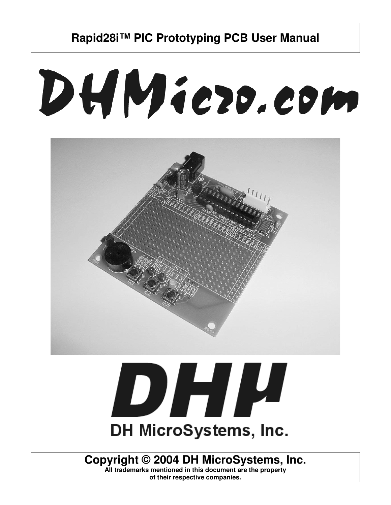# DHMiezo.com





## **Copyright © 2004 DH MicroSystems, Inc.**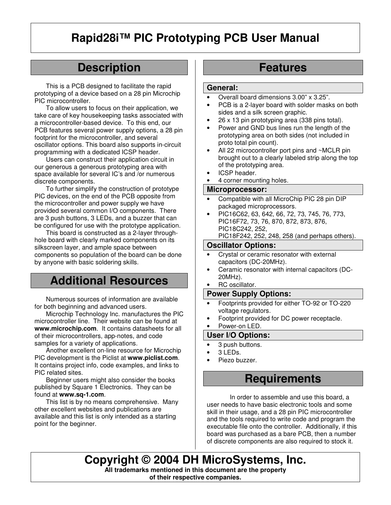## **Description**

This is a PCB designed to facilitate the rapid prototyping of a device based on a 28 pin Microchip PIC microcontroller.

To allow users to focus on their application, we take care of key housekeeping tasks associated with a microcontroller-based device. To this end, our PCB features several power supply options, a 28 pin footprint for the microcontroller, and several oscillator options. This board also supports in-circuit programming with a dedicated ICSP header.

Users can construct their application circuit in our generous a generous prototyping area with space available for several IC's and /or numerous discrete components.

To further simplify the construction of prototype PIC devices, on the end of the PCB opposite from the microcontroller and power supply we have provided several common I/O components. There are 3 push buttons, 3 LEDs, and a buzzer that can be configured for use with the prototype application.

This board is constructed as a 2-layer throughhole board with clearly marked components on its silkscreen layer, and ample space between components so population of the board can be done by anyone with basic soldering skills.

## **Additional Resources**

Numerous sources of information are available for both beginning and advanced users.

Microchip Technology Inc. manufactures the PIC microcontroller line. Their website can be found at **www.microchip.com**. It contains datasheets for all of their microcontrollers, app-notes, and code samples for a variety of applications.

Another excellent on-line resource for Microchip PIC development is the Piclist at **www.piclist.com**. It contains project info, code examples, and links to PIC related sites.

Beginner users might also consider the books published by Square 1 Electronics. They can be found at **www.sq-1.com**.

This list is by no means comprehensive. Many other excellent websites and publications are available and this list is only intended as a starting point for the beginner.

## **Features**

#### **General:**

- Overall board dimensions 3.00" x 3.25".
- PCB is a 2-layer board with solder masks on both sides and a silk screen graphic.
- 26 x 13 pin prototyping area (338 pins total).
- Power and GND bus lines run the length of the prototyping area on both sides (not included in proto total pin count).
- All 22 microcontroller port pins and ~MCLR pin brought out to a clearly labeled strip along the top of the prototyping area.
- ICSP header.
- 4 corner mounting holes.

#### **Microprocessor:**

- Compatible with all MicroChip PIC 28 pin DIP packaged microprocessors.
- PIC16C62, 63, 642, 66, 72, 73, 745, 76, 773, PIC16F72, 73, 76, 870, 872, 873, 876, PIC18C242, 252,

PIC18F242, 252, 248, 258 (and perhaps others).

#### **Oscillator Options:**

- Crystal or ceramic resonator with external capacitors (DC-20MHz).
- Ceramic resonator with internal capacitors (DC-20MHz).
- RC oscillator.

#### **Power Supply Options:**

- Footprints provided for either TO-92 or TO-220 voltage regulators.
- Footprint provided for DC power receptacle.

## Power-on LED.

**User I/O Options:**

#### 3 push buttons.

- 3 LEDs.
- Piezo buzzer.

## **Requirements**

In order to assemble and use this board, a user needs to have basic electronic tools and some skill in their usage, and a 28 pin PIC microcontroller and the tools required to write code and program the executable file onto the controller. Additionally, if this board was purchased as a bare PCB, then a number of discrete components are also required to stock it.

**Copyright © 2004 DH MicroSystems, Inc. All trademarks mentioned in this document are the property of their respective companies.**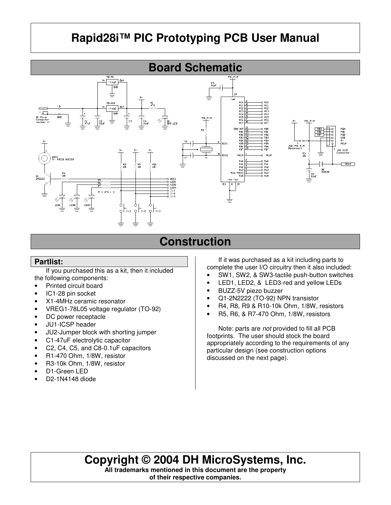

## **Construction**

## **Partlist:**

If you purchased this as a kit, then it included the following components:

- Printed circuit board
- IC1-28 pin socket
- X1-4MHz ceramic resonator
- VREG1-78L05 voltage regulator (TO-92)
- DC power receptacle
- JU1-ICSP header
- JU2-Jumper block with shorting jumper
- C1-47uF electrolytic capacitor
- C2, C4, C5, and C8-0.1uF capacitors
- R1-470 Ohm, 1/8W, resistor
- R3-10k Ohm, 1/8W, resistor
- D1-Green LED
- D2-1N4148 diode

If it was purchased as a kit including parts to complete the user I/O circuitry then it also included:

- SW1, SW2, & SW3-tactile push-button switches
- LED1, LED2, & LED3-red and yellow LEDs
- BUZZ-5V piezo buzzer
- Q1-2N2222 (TO-92) NPN transistor
- R4, R8, R9 & R10-10k Ohm, 1/8W, resistors
- R5, R6, & R7-470 Ohm, 1/8W, resistors

Note: parts are *not* provided to fill all PCB footprints. The user should stock the board appropriately according to the requirements of any particular design (see construction options discussed on the next page).

## **Copyright © 2004 DH MicroSystems, Inc.**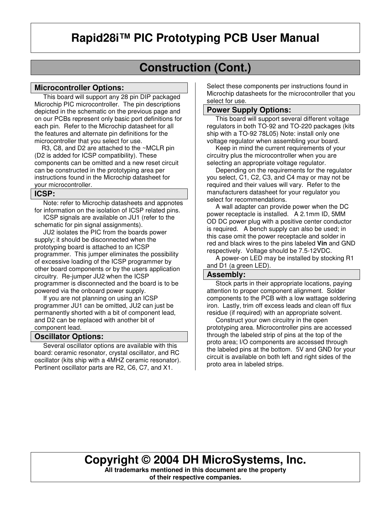## **Construction (Cont.)**

#### **Microcontroller Options:**

This board will support any 28 pin DIP packaged Microchip PIC microcontroller. The pin descriptions depicted in the schematic on the previous page and on our PCBs represent only basic port definitions for each pin. Refer to the Microchip datasheet for all the features and alternate pin definitions for the microcontroller that you select for use.

 R3, C8, and D2 are attached to the ~MCLR pin (D2 is added for ICSP compatibility). These components can be omitted and a new reset circuit can be constructed in the prototyping area per instructions found in the Microchip datasheet for your microcontroller.

#### **ICSP:**

 Note: refer to Microchip datasheets and appnotes for information on the isolation of ICSP related pins.

 ICSP signals are available on JU1 (refer to the schematic for pin signal assignments).

 JU2 isolates the PIC from the boards power supply; it should be disconnected when the prototyping board is attached to an ICSP programmer. This jumper eliminates the possibility of excessive loading of the ICSP programmer by other board components or by the users application circuitry. Re-jumper JU2 when the ICSP programmer is disconnected and the board is to be powered via the onboard power supply.

 If you are not planning on using an ICSP programmer JU1 can be omitted, JU2 can just be permanently shorted with a bit of component lead, and D2 can be replaced with another bit of component lead.

#### **Oscillator Options:**

 Several oscillator options are available with this board: ceramic resonator, crystal oscillator, and RC oscillator (kits ship with a 4MHZ ceramic resonator). Pertinent oscillator parts are R2, C6, C7, and X1.

Select these components per instructions found in Microchip datasheets for the microcontroller that you select for use.

## **Power Supply Options:**

 This board will support several different voltage regulators in both TO-92 and TO-220 packages (kits ship with a TO-92 78L05) Note: install only one voltage regulator when assembling your board.

 Keep in mind the current requirements of your circuitry plus the microcontroller when you are selecting an appropriate voltage regulator.

 Depending on the requirements for the regulator you select, C1, C2, C3, and C4 may or may not be required and their values will vary. Refer to the manufacturers datasheet for your regulator you select for recommendations.

 A wall adapter can provide power when the DC power receptacle is installed. A 2.1mm ID, 5MM OD DC power plug with a positive center conductor is required. A bench supply can also be used; in this case omit the power receptacle and solder in red and black wires to the pins labeled **Vin** and GND respectively. Voltage should be 7.5-12VDC.

 A power-on LED may be installed by stocking R1 and D1 (a green LED).

#### **Assembly:**

 Stock parts in their appropriate locations, paying attention to proper component alignment. Solder components to the PCB with a low wattage soldering iron. Lastly, trim off excess leads and clean off flux residue (if required) with an appropriate solvent.

 Construct your own circuitry in the open prototyping area. Microcontroller pins are accessed through the labeled strip of pins at the top of the proto area; I/O components are accessed through the labeled pins at the bottom. 5V and GND for your circuit is available on both left and right sides of the proto area in labeled strips.

## **Copyright © 2004 DH MicroSystems, Inc.**